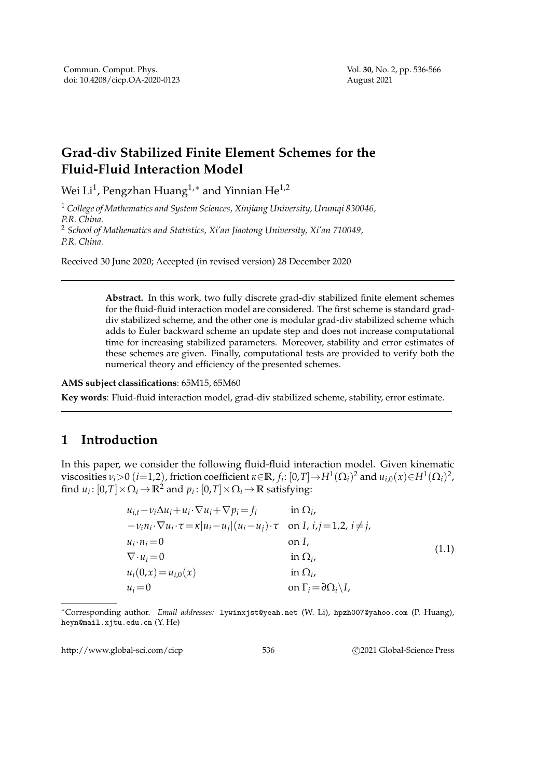## **Grad-div Stabilized Finite Element Schemes for the Fluid-Fluid Interaction Model**

Wei Li $^1$ , Pengzhan Huang $^{1,\ast}$  and Yinnian He $^{1,2}$ 

<sup>1</sup> *College of Mathematics and System Sciences, Xinjiang University, Urumqi 830046, P.R. China.* <sup>2</sup> *School of Mathematics and Statistics, Xi'an Jiaotong University, Xi'an 710049,*

*P.R. China.*

Received 30 June 2020; Accepted (in revised version) 28 December 2020

**Abstract.** In this work, two fully discrete grad-div stabilized finite element schemes for the fluid-fluid interaction model are considered. The first scheme is standard graddiv stabilized scheme, and the other one is modular grad-div stabilized scheme which adds to Euler backward scheme an update step and does not increase computational time for increasing stabilized parameters. Moreover, stability and error estimates of these schemes are given. Finally, computational tests are provided to verify both the numerical theory and efficiency of the presented schemes.

**AMS subject classifications**: 65M15, 65M60

**Key words**: Fluid-fluid interaction model, grad-div stabilized scheme, stability, error estimate.

## **1 Introduction**

In this paper, we consider the following fluid-fluid interaction model. Given kinematic  $v$  is cosities  $v_i > 0$  (*i*=1,2), friction coefficient  $\kappa \in \mathbb{R}$ ,  $f_i$ :  $[0,T] \to H^1(\Omega_i)^2$  and  $u_{i,0}(x) \in H^1(\Omega_i)^2$ , find  $u_i: [0,T] \times \Omega_i \to \mathbb{R}^2$  and  $p_i: [0,T] \times \Omega_i \to \mathbb{R}$  satisfying:

$$
u_{i,t} - v_i \Delta u_i + u_i \cdot \nabla u_i + \nabla p_i = f_i \quad \text{in } \Omega_i,
$$
  
\n
$$
-v_i n_i \cdot \nabla u_i \cdot \tau = \kappa |u_i - u_j| (u_i - u_j) \cdot \tau \quad \text{on } I, \ i, j = 1, 2, i \neq j,
$$
  
\n
$$
u_i \cdot n_i = 0 \quad \text{on } I,
$$
  
\n
$$
\nabla \cdot u_i = 0 \quad \text{in } \Omega_i,
$$
  
\n
$$
u_i(0,x) = u_{i,0}(x) \quad \text{in } \Omega_i,
$$
  
\n
$$
u_i = 0 \quad \text{on } \Gamma_i = \partial \Omega_i \setminus I,
$$
  
\n(1.1)

<sup>∗</sup>Corresponding author. *Email addresses:* lywinxjst@yeah.net (W. Li), hpzh007@yahoo.com (P. Huang), heyn@mail.xjtu.edu.cn (Y. He)

http://www.global-sci.com/cicp 536 ©2021 Global-Science Press